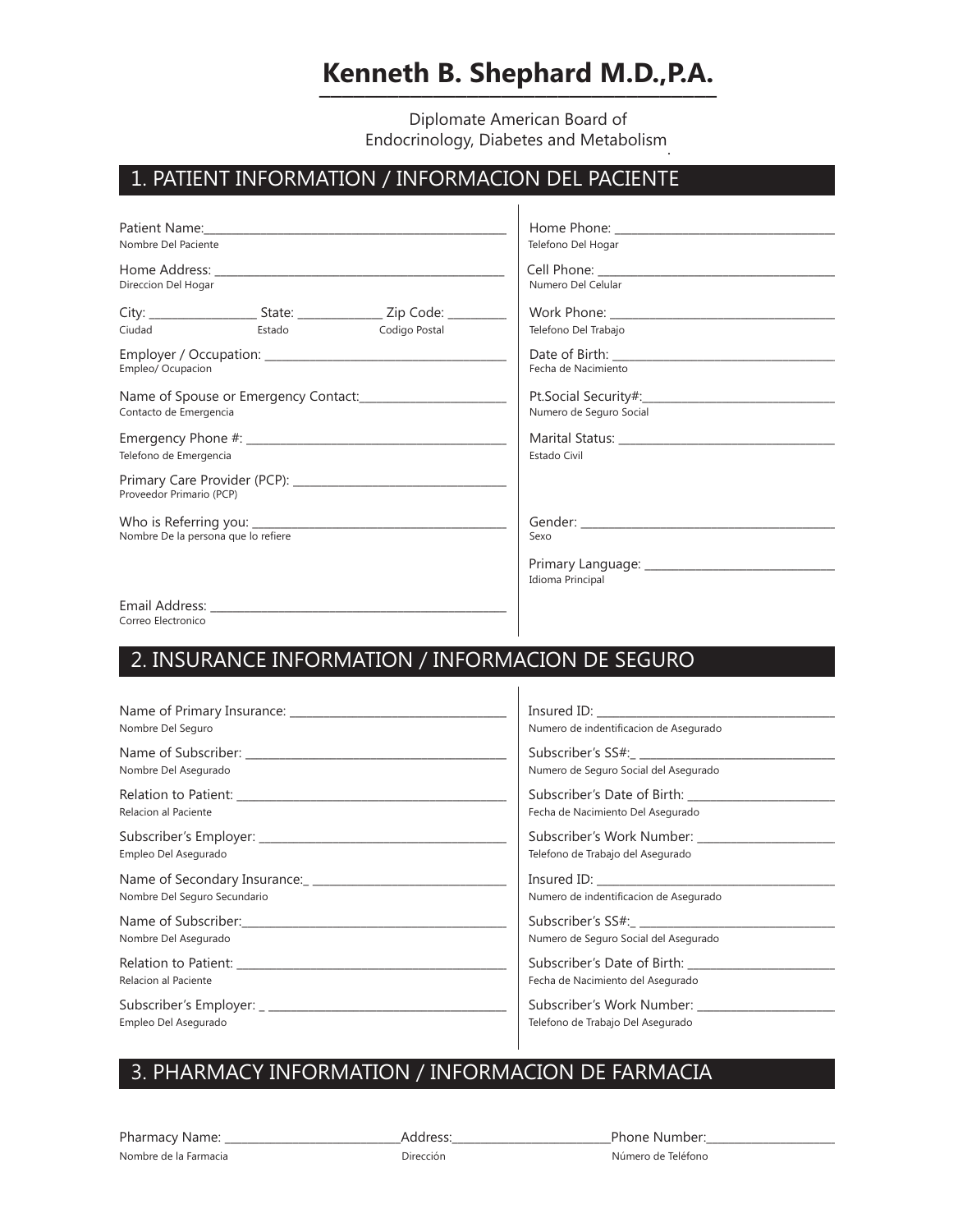# **Kenneth B. Shephard M.D.,P.A. \_\_\_\_\_\_\_\_\_\_\_\_\_\_\_\_\_\_\_\_\_\_\_\_\_\_\_\_\_\_\_\_\_\_\_**

Diplomate American Board of Endocrinology, Diabetes and Metabolism.

### 1. PATIENT INFORMATION / INFORMACION DEL PACIENTE

|                                                                                                     |        |                                                                                      | Telefono Del Hogar      |  |  |  |  |
|-----------------------------------------------------------------------------------------------------|--------|--------------------------------------------------------------------------------------|-------------------------|--|--|--|--|
| Nombre Del Paciente                                                                                 |        |                                                                                      |                         |  |  |  |  |
| Direccion Del Hogar                                                                                 |        |                                                                                      |                         |  |  |  |  |
|                                                                                                     |        |                                                                                      | Numero Del Celular      |  |  |  |  |
|                                                                                                     |        | City: __________________________State: _______________________Zip Code: ____________ |                         |  |  |  |  |
| Ciudad                                                                                              | Estado | Codigo Postal                                                                        | Telefono Del Trabajo    |  |  |  |  |
| Empleo/ Ocupacion                                                                                   |        |                                                                                      |                         |  |  |  |  |
|                                                                                                     |        |                                                                                      | Fecha de Nacimiento     |  |  |  |  |
|                                                                                                     |        |                                                                                      |                         |  |  |  |  |
| Name of Spouse or Emergency Contact: Mame of Spouse or Emergency Contact:<br>Contacto de Emergencia |        |                                                                                      | Numero de Seguro Social |  |  |  |  |
|                                                                                                     |        |                                                                                      |                         |  |  |  |  |
|                                                                                                     |        |                                                                                      |                         |  |  |  |  |
| Telefono de Emergencia                                                                              |        |                                                                                      | <b>Estado Civil</b>     |  |  |  |  |
| Proveedor Primario (PCP)                                                                            |        |                                                                                      |                         |  |  |  |  |
|                                                                                                     |        |                                                                                      |                         |  |  |  |  |
| Nombre De la persona que lo refiere                                                                 |        |                                                                                      | Sexo                    |  |  |  |  |
|                                                                                                     |        |                                                                                      | Idioma Principal        |  |  |  |  |
|                                                                                                     |        |                                                                                      |                         |  |  |  |  |
| Correo Electronico                                                                                  |        |                                                                                      |                         |  |  |  |  |

# 2. INSURANCE INFORMATION /Informacion de Seguro 2. INSURANCE INFORMATION / INFORMACION DE SEGURO

| Name of Primary Insurance: Name of Primary Insurance: |                                        |
|-------------------------------------------------------|----------------------------------------|
| Nombre Del Seguro                                     | Numero de indentificacion de Asegurado |
|                                                       |                                        |
| Nombre Del Asegurado                                  | Numero de Seguro Social del Asegurado  |
|                                                       | Subscriber's Date of Birth:            |
| Relacion al Paciente                                  | Fecha de Nacimiento Del Asegurado      |
| Subscriber's Employer: Subscriber's Employer:         | Subscriber's Work Number:              |
| Empleo Del Asegurado                                  | Telefono de Trabajo del Asegurado      |
|                                                       |                                        |
| Nombre Del Seguro Secundario                          | Numero de indentificacion de Asegurado |
|                                                       |                                        |
| Nombre Del Asegurado                                  | Numero de Seguro Social del Asegurado  |
|                                                       | Subscriber's Date of Birth:            |
| Relacion al Paciente                                  | Fecha de Nacimiento del Asegurado      |
|                                                       | Subscriber's Work Number:              |
| Empleo Del Asegurado                                  | Telefono de Trabajo Del Asegurado      |

## 3. PHARMACY INFORMATION/ Informacion de Farmacia 3. PHARMACY INFORMATION / INFORMACION DE FARMACIA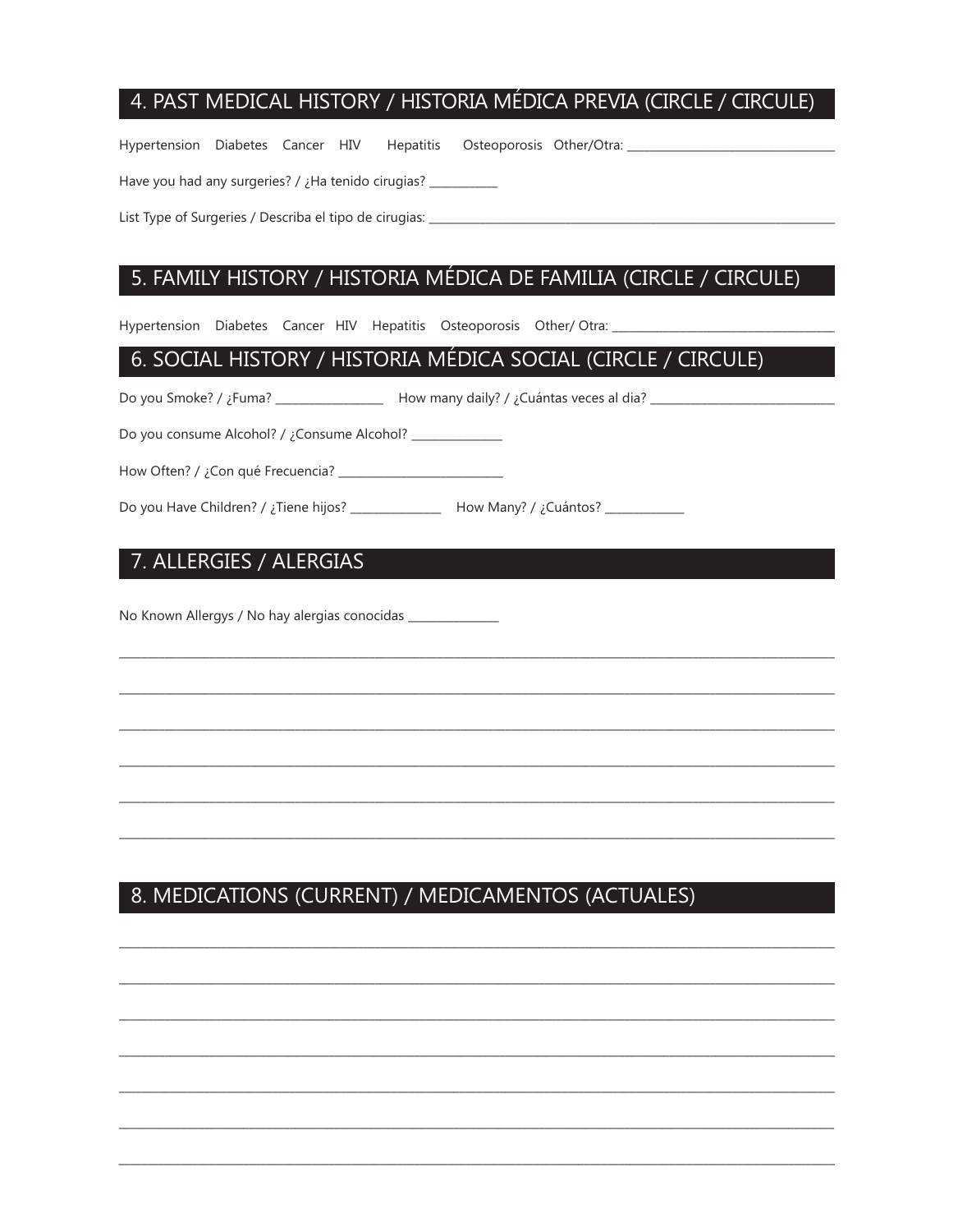# 4. PAST MEDICAL HISTORY / HISTORIA MÉDICA PREVIA (CIRCLE / CIRCULE)

Hypertension Diabetes Cancer HIV Hepatitis Osteoporosis Other/Otra:

Have you had any surgeries? / ¿Ha tenido cirugias? \_\_\_

List Type of Surgeries / Describa el tipo de cirugias: \_\_\_\_\_\_\_\_\_\_\_\_

#### 5. FAMILY HISTORY / HISTORIA MÉDICA DE FAMILIA (CIRCLE / CIRCULE)

Hypertension Diabetes Cancer HIV Hepatitis Osteoporosis Other/Otra:

#### 6. SOCIAL HISTORY / HISTORIA MÉDICA SOCIAL (CIRCLE / CIRCULE)

Do you consume Alcohol? / ¿Consume Alcohol? \_\_\_\_\_\_\_\_\_\_\_\_\_

Do you Have Children? / ¿Tiene hijos? \_\_\_\_\_\_\_\_\_\_\_\_\_\_\_ How Many? / ¿Cuántos? \_\_\_\_\_\_\_\_\_\_

### 7. ALLERGIES / ALERGIAS

No Known Allergys / No hay alergias conocidas \_\_\_\_\_\_

# 8. MEDICATIONS (CURRENT) / MEDICAMENTOS (ACTUALES)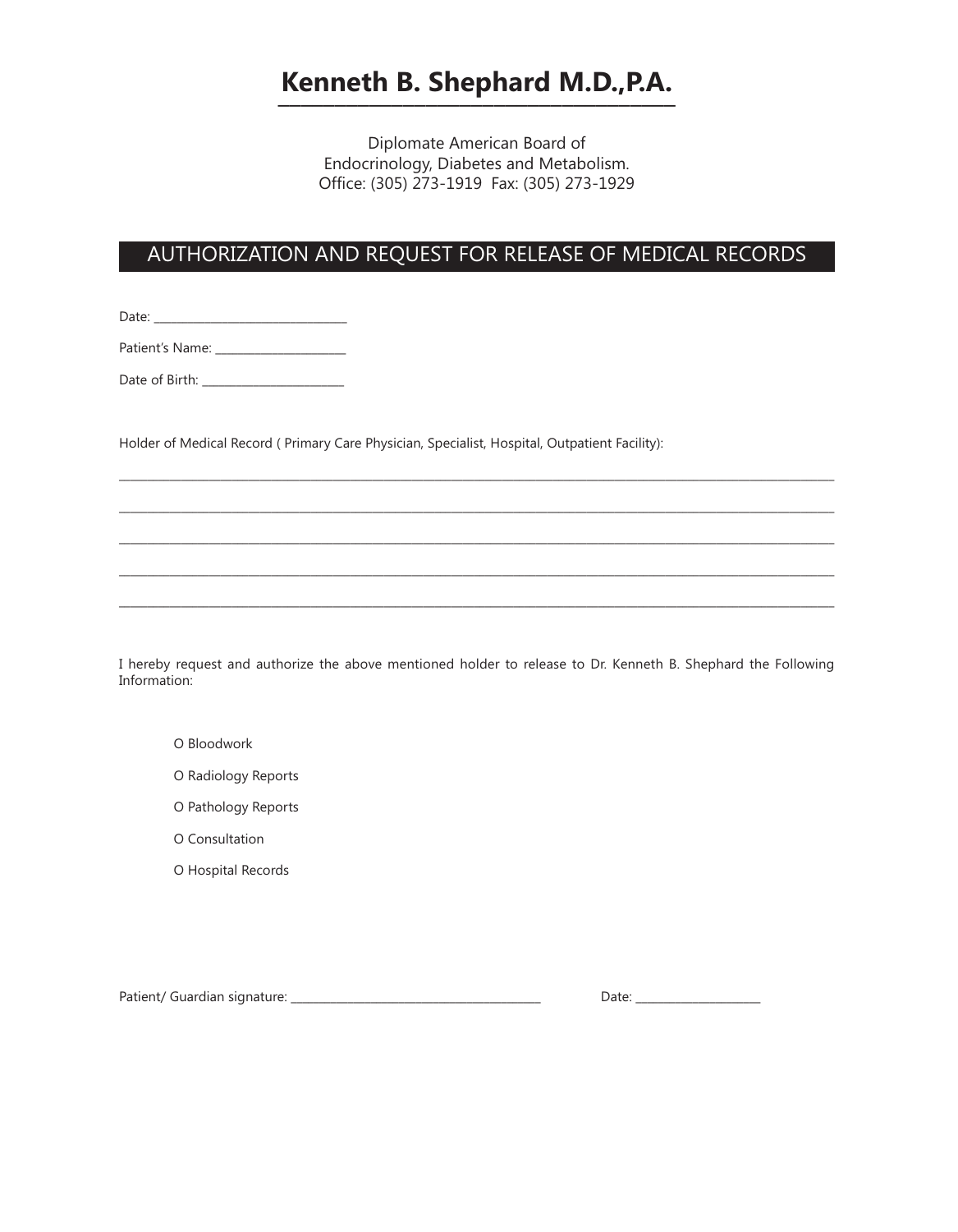# **Kenneth B. Shephard M.D.,P.A. \_\_\_\_\_\_\_\_\_\_\_\_\_\_\_\_\_\_\_\_\_\_\_\_\_\_\_\_\_\_\_\_\_\_\_**

Diplomate American Board of Endocrinology, Diabetes and Metabolism. Office: (305) 273-1919 Fax: (305) 273-1929

# AUTHORIZATION AND REQUEST FOR RELEASE OF MEDICAL RECORDS

Date: \_\_\_\_\_\_\_\_\_\_\_\_\_\_\_\_\_\_\_\_\_\_\_\_\_\_\_\_\_\_\_\_\_\_

Patient's Name: \_\_\_\_\_\_\_\_\_\_\_\_\_\_\_\_\_\_\_\_\_\_\_

Date of Birth: \_\_\_\_\_\_\_\_\_\_\_\_\_\_\_\_\_\_\_\_\_\_\_\_\_

Holder of Medical Record ( Primary Care Physician, Specialist, Hospital, Outpatient Facility):

I hereby request and authorize the above mentioned holder to release to Dr. Kenneth B. Shephard the Following Information:

\_\_\_\_\_\_\_\_\_\_\_\_\_\_\_\_\_\_\_\_\_\_\_\_\_\_\_\_\_\_\_\_\_\_\_\_\_\_\_\_\_\_\_\_\_\_\_\_\_\_\_\_\_\_\_\_\_\_\_\_\_\_\_\_\_\_\_\_\_\_\_\_\_\_\_\_\_\_\_\_\_\_\_\_\_\_\_\_\_\_\_\_\_\_\_\_\_\_\_\_\_\_\_\_\_\_\_\_\_\_\_\_\_\_\_\_\_\_\_\_\_\_\_\_\_\_\_

\_\_\_\_\_\_\_\_\_\_\_\_\_\_\_\_\_\_\_\_\_\_\_\_\_\_\_\_\_\_\_\_\_\_\_\_\_\_\_\_\_\_\_\_\_\_\_\_\_\_\_\_\_\_\_\_\_\_\_\_\_\_\_\_\_\_\_\_\_\_\_\_\_\_\_\_\_\_\_\_\_\_\_\_\_\_\_\_\_\_\_\_\_\_\_\_\_\_\_\_\_\_\_\_\_\_\_\_\_\_\_\_\_\_\_\_\_\_\_\_\_\_\_\_\_\_\_

\_\_\_\_\_\_\_\_\_\_\_\_\_\_\_\_\_\_\_\_\_\_\_\_\_\_\_\_\_\_\_\_\_\_\_\_\_\_\_\_\_\_\_\_\_\_\_\_\_\_\_\_\_\_\_\_\_\_\_\_\_\_\_\_\_\_\_\_\_\_\_\_\_\_\_\_\_\_\_\_\_\_\_\_\_\_\_\_\_\_\_\_\_\_\_\_\_\_\_\_\_\_\_\_\_\_\_\_\_\_\_\_\_\_\_\_\_\_\_\_\_\_\_\_\_\_\_

\_\_\_\_\_\_\_\_\_\_\_\_\_\_\_\_\_\_\_\_\_\_\_\_\_\_\_\_\_\_\_\_\_\_\_\_\_\_\_\_\_\_\_\_\_\_\_\_\_\_\_\_\_\_\_\_\_\_\_\_\_\_\_\_\_\_\_\_\_\_\_\_\_\_\_\_\_\_\_\_\_\_\_\_\_\_\_\_\_\_\_\_\_\_\_\_\_\_\_\_\_\_\_\_\_\_\_\_\_\_\_\_\_\_\_\_\_\_\_\_\_\_\_\_\_\_\_

\_\_\_\_\_\_\_\_\_\_\_\_\_\_\_\_\_\_\_\_\_\_\_\_\_\_\_\_\_\_\_\_\_\_\_\_\_\_\_\_\_\_\_\_\_\_\_\_\_\_\_\_\_\_\_\_\_\_\_\_\_\_\_\_\_\_\_\_\_\_\_\_\_\_\_\_\_\_\_\_\_\_\_\_\_\_\_\_\_\_\_\_\_\_\_\_\_\_\_\_\_\_\_\_\_\_\_\_\_\_\_\_\_\_\_\_\_\_\_\_\_\_\_\_\_\_\_

- O Bloodwork
- O Radiology Reports
- O Pathology Reports
- O Consultation
- O Hospital Records

Patient/ Guardian signature: \_\_\_\_\_\_\_\_\_\_\_\_\_\_\_\_\_\_\_\_\_\_\_\_\_\_\_\_\_\_\_\_\_\_\_\_\_\_\_\_\_\_\_\_ Date: \_\_\_\_\_\_\_\_\_\_\_\_\_\_\_\_\_\_\_\_\_\_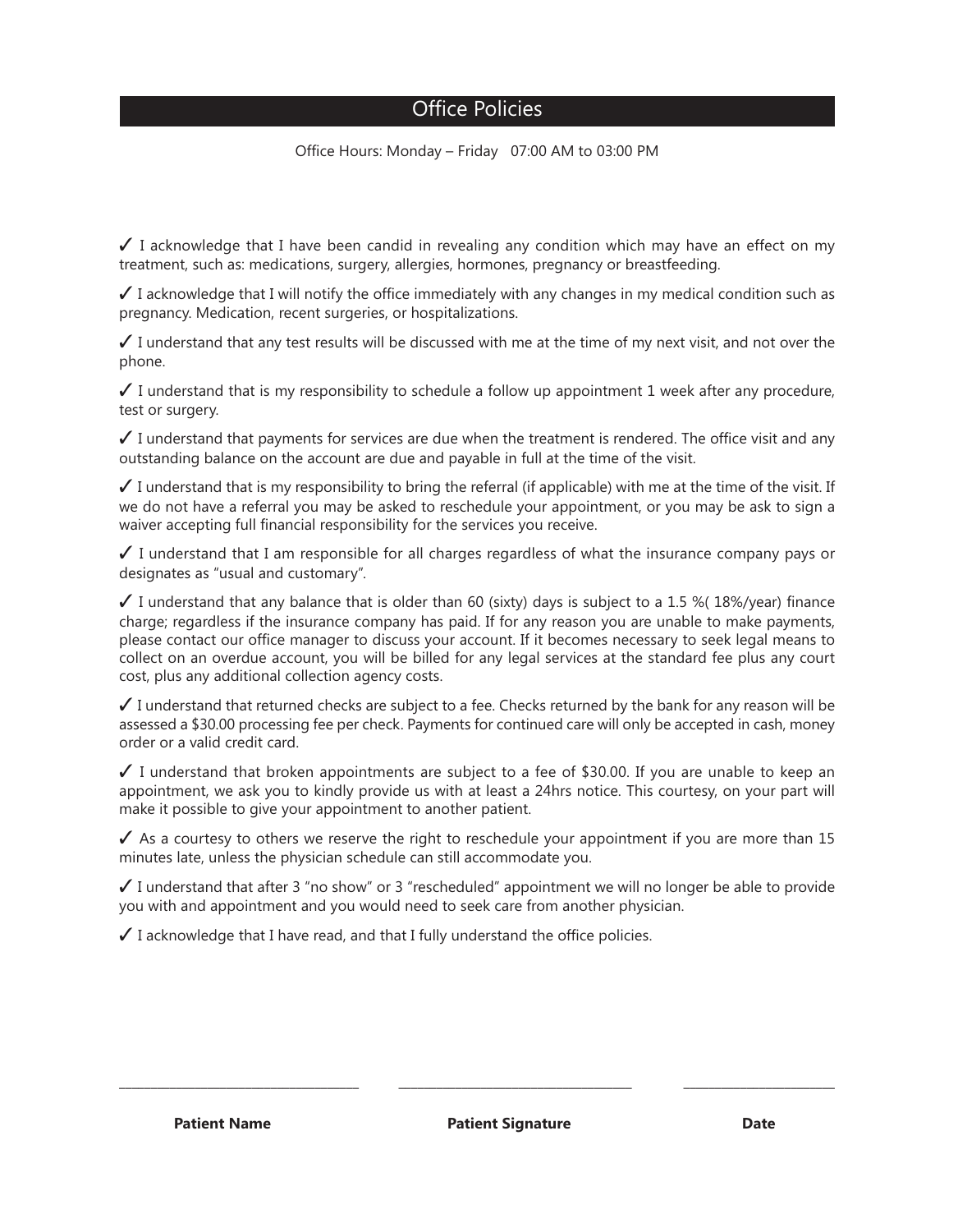#### Office Policies

Office Hours: Monday – Friday 07:00 AM to 03:00 PM

 $\checkmark$  I acknowledge that I have been candid in revealing any condition which may have an effect on my treatment, such as: medications, surgery, allergies, hormones, pregnancy or breastfeeding.

 $\checkmark$  I acknowledge that I will notify the office immediately with any changes in my medical condition such as pregnancy. Medication, recent surgeries, or hospitalizations.

 $\checkmark$  I understand that any test results will be discussed with me at the time of my next visit, and not over the phone.

 $\checkmark$  I understand that is my responsibility to schedule a follow up appointment 1 week after any procedure, test or surgery.

 $\checkmark$  I understand that payments for services are due when the treatment is rendered. The office visit and any outstanding balance on the account are due and payable in full at the time of the visit.

I understand that is my responsibility to bring the referral (if applicable) with me at the time of the visit. If we do not have a referral you may be asked to reschedule your appointment, or you may be ask to sign a waiver accepting full financial responsibility for the services you receive.

 $\checkmark$  I understand that I am responsible for all charges regardless of what the insurance company pays or designates as "usual and customary".

 $\checkmark$  I understand that any balance that is older than 60 (sixty) days is subject to a 1.5 % 18%/year) finance charge; regardless if the insurance company has paid. If for any reason you are unable to make payments, please contact our office manager to discuss your account. If it becomes necessary to seek legal means to collect on an overdue account, you will be billed for any legal services at the standard fee plus any court cost, plus any additional collection agency costs.

 $\checkmark$  I understand that returned checks are subject to a fee. Checks returned by the bank for any reason will be assessed a \$30.00 processing fee per check. Payments for continued care will only be accepted in cash, money order or a valid credit card.

 $\checkmark$  I understand that broken appointments are subject to a fee of \$30.00. If you are unable to keep an appointment, we ask you to kindly provide us with at least a 24hrs notice. This courtesy, on your part will make it possible to give your appointment to another patient.

 $\checkmark$  As a courtesy to others we reserve the right to reschedule your appointment if you are more than 15 minutes late, unless the physician schedule can still accommodate you.

 $\checkmark$  I understand that after 3 "no show" or 3 "rescheduled" appointment we will no longer be able to provide you with and appointment and you would need to seek care from another physician.

\_\_\_\_\_\_\_\_\_\_\_\_\_\_\_\_\_\_\_\_\_\_\_\_\_\_\_\_\_\_\_\_\_\_\_\_\_\_ \_\_\_\_\_\_\_\_\_\_\_\_\_\_\_\_\_\_\_\_\_\_\_\_\_\_\_\_\_\_\_\_\_\_\_\_\_ \_\_\_\_\_\_\_\_\_\_\_\_\_\_\_\_\_\_\_\_\_\_\_\_

 $\checkmark$  I acknowledge that I have read, and that I fully understand the office policies.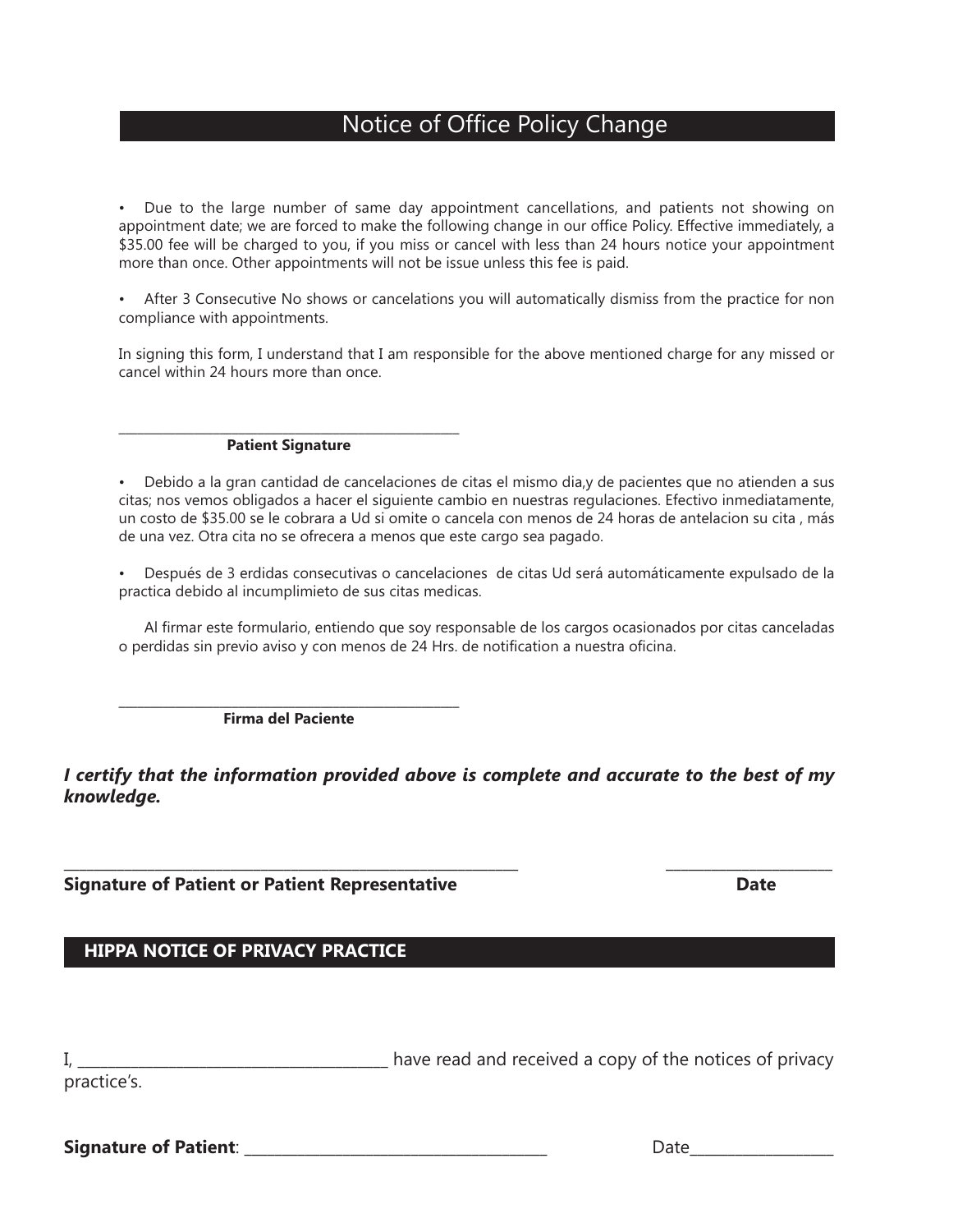### Notice of Office Policy Change

• Due to the large number of same day appointment cancellations, and patients not showing on appointment date; we are forced to make the following change in our office Policy. Effective immediately, a \$35.00 fee will be charged to you, if you miss or cancel with less than 24 hours notice your appointment more than once. Other appointments will not be issue unless this fee is paid.

• After 3 Consecutive No shows or cancelations you will automatically dismiss from the practice for non compliance with appointments.

In signing this form, I understand that I am responsible for the above mentioned charge for any missed or cancel within 24 hours more than once.

#### \_\_\_\_\_\_\_\_\_\_\_\_\_\_\_\_\_\_\_\_\_\_\_\_\_\_\_\_\_\_\_\_\_\_\_\_\_\_\_\_\_\_\_\_\_\_\_\_\_\_\_\_\_\_ **Patient Signature**

• Debido a la gran cantidad de cancelaciones de citas el mismo dia,y de pacientes que no atienden a sus citas; nos vemos obligados a hacer el siguiente cambio en nuestras regulaciones. Efectivo inmediatamente, un costo de \$35.00 se le cobrara a Ud si omite o cancela con menos de 24 horas de antelacion su cita , más de una vez. Otra cita no se ofrecera a menos que este cargo sea pagado.

• Después de 3 erdidas consecutivas o cancelaciones de citas Ud será automáticamente expulsado de la practica debido al incumplimieto de sus citas medicas.

 Al firmar este formulario, entiendo que soy responsable de los cargos ocasionados por citas canceladas o perdidas sin previo aviso y con menos de 24 Hrs. de notification a nuestra oficina.

\_\_\_\_\_\_\_\_\_\_\_\_\_\_\_\_\_\_\_\_\_\_\_\_\_\_\_\_\_\_\_\_\_\_\_\_\_\_\_\_\_\_\_\_\_\_\_\_\_\_\_\_\_\_ **Firma del Paciente**

*I certify that the information provided above is complete and accurate to the best of my knowledge.*

\_\_\_\_\_\_\_\_\_\_\_\_\_\_\_\_\_\_\_\_\_\_\_\_\_\_\_\_\_\_\_\_\_\_\_\_\_\_\_\_\_\_\_\_\_\_\_\_\_\_\_\_\_\_\_\_\_\_\_\_ \_\_\_\_\_\_\_\_\_\_\_\_\_\_\_\_\_\_\_\_\_\_

**Signature of Patient or Patient Representative Date**

**HIPPA NOTICE OF PRIVACY PRACTICE**

|             | have read and received a copy of the notices of privacy |  |  |  |  |
|-------------|---------------------------------------------------------|--|--|--|--|
| practice's. |                                                         |  |  |  |  |

**Signature of Patient**: \_\_\_\_\_\_\_\_\_\_\_\_\_\_\_\_\_\_\_\_\_\_\_\_\_\_\_\_\_\_\_\_\_\_\_\_\_\_\_\_ Date\_\_\_\_\_\_\_\_\_\_\_\_\_\_\_\_\_\_\_